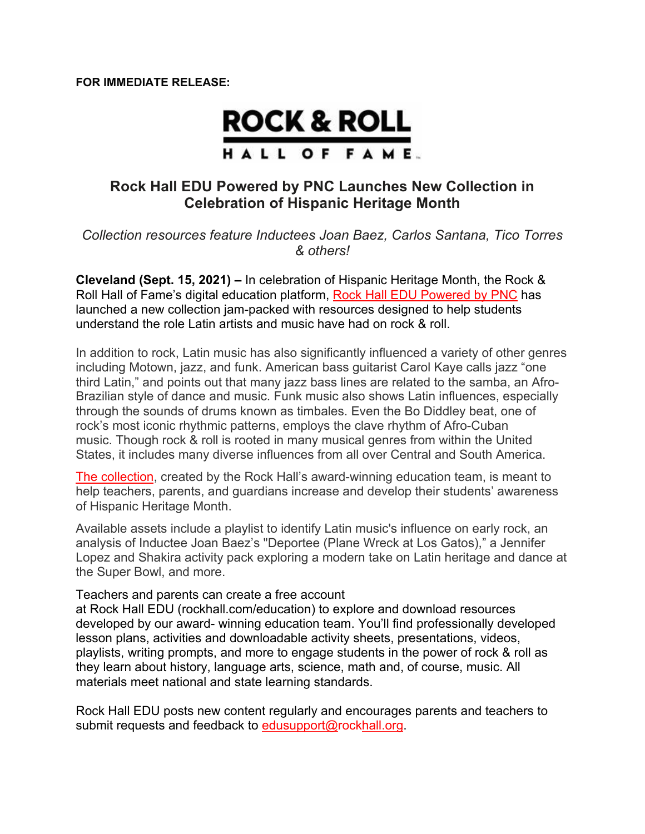## **ROCK & ROLL** HALL OF FAME.

## **Rock Hall EDU Powered by PNC Launches New Collection in Celebration of Hispanic Heritage Month**

*Collection resources feature Inductees Joan Baez, Carlos Santana, Tico Torres & others!*

**Cleveland (Sept. 15, 2021) –** In celebration of Hispanic Heritage Month, the Rock & Roll Hall of Fame's digital education platform, Rock Hall EDU Powered by PNC has launched a new collection jam-packed with resources designed to help students understand the role Latin artists and music have had on rock & roll.

In addition to rock, Latin music has also significantly influenced a variety of other genres including Motown, jazz, and funk. American bass guitarist Carol Kaye calls jazz "one third Latin," and points out that many jazz bass lines are related to the samba, an Afro-Brazilian style of dance and music. Funk music also shows Latin influences, especially through the sounds of drums known as timbales. Even the Bo Diddley beat, one of rock's most iconic rhythmic patterns, employs the clave rhythm of Afro-Cuban music. Though rock & roll is rooted in many musical genres from within the United States, it includes many diverse influences from all over Central and South America.

The collection, created by the Rock Hall's award-winning education team, is meant to help teachers, parents, and guardians increase and develop their students' awareness of Hispanic Heritage Month.

Available assets include a playlist to identify Latin music's influence on early rock, an analysis of Inductee Joan Baez's "Deportee (Plane Wreck at Los Gatos)," a Jennifer Lopez and Shakira activity pack exploring a modern take on Latin heritage and dance at the Super Bowl, and more.

Teachers and parents can create a free account

at Rock Hall EDU (rockhall.com/education) to explore and download resources developed by our award- winning education team. You'll find professionally developed lesson plans, activities and downloadable activity sheets, presentations, videos, playlists, writing prompts, and more to engage students in the power of rock & roll as they learn about history, language arts, science, math and, of course, music. All materials meet national and state learning standards.

Rock Hall EDU posts new content regularly and encourages parents and teachers to submit requests and feedback to edusupport@rockhall.org.